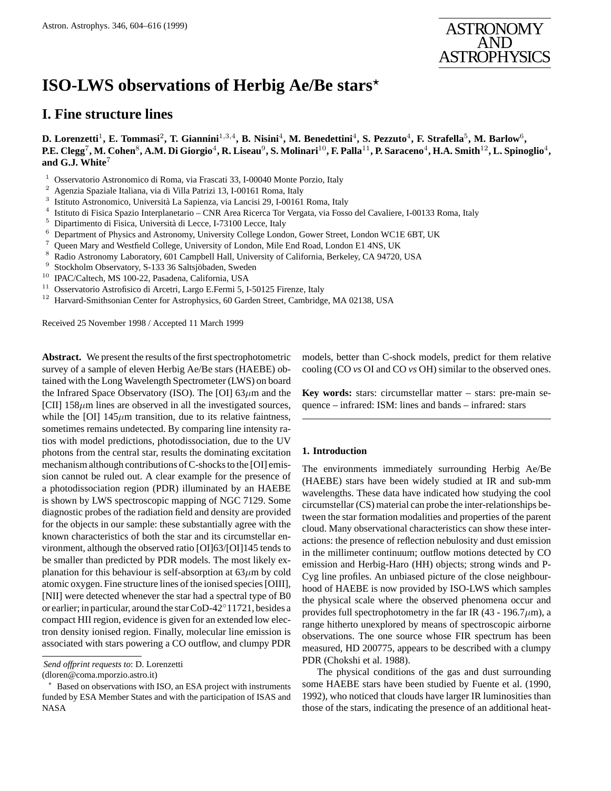

# **ISO-LWS observations of Herbig Ae/Be stars***?*

# **I. Fine structure lines**

**D. Lorenzetti**<sup>1</sup>**, E. Tommasi**<sup>2</sup>**, T. Giannini**<sup>1</sup>,3,<sup>4</sup>**, B. Nisini**<sup>4</sup>**, M. Benedettini**<sup>4</sup>**, S. Pezzuto**<sup>4</sup>**, F. Strafella**<sup>5</sup>**, M. Barlow**<sup>6</sup>**, P.E. Clegg**<sup>7</sup>**, M. Cohen**<sup>8</sup>**, A.M. Di Giorgio**<sup>4</sup>**, R. Liseau**<sup>9</sup>**, S. Molinari**<sup>10</sup>**, F. Palla**<sup>11</sup>**, P. Saraceno**<sup>4</sup>**, H.A. Smith**<sup>12</sup>**, L. Spinoglio**<sup>4</sup>**, and G.J. White**<sup>7</sup>

- <sup>1</sup> Osservatorio Astronomico di Roma, via Frascati 33, I-00040 Monte Porzio, Italy
- <sup>2</sup> Agenzia Spaziale Italiana, via di Villa Patrizi 13, I-00161 Roma, Italy  $^3$  Istituto Astronomico Università La Sanjenza, via Lancisi 29, L00161
- <sup>3</sup> Istituto Astronomico, Università La Sapienza, via Lancisi 29, I-00161 Roma, Italy  $^4$  Istituto di Fisica Spazio Interplanetario. CNR Area Bicerca Tor Vergata, via Foss
- <sup>4</sup> Istituto di Fisica Spazio Interplanetario CNR Area Ricerca Tor Vergata, via Fosso del Cavaliere, I-00133 Roma, Italy
- <sup>5</sup> Dipartimento di Fisica, Università di Lecce, I-73100 Lecce, Italy  $^6$  Department of Physics and Astronomy, University College I onde
- <sup>6</sup> Department of Physics and Astronomy, University College London, Gower Street, London WC1E 6BT, UK
- <sup>7</sup> Queen Mary and Westfield College, University of London, Mile End Road, London E1 4NS, UK  $^{8}$ . Bedia Astronomy Lehenston: 601 Comphall Hall University of Colifornia, Bedialay, GA 04720.
- <sup>8</sup> Radio Astronomy Laboratory, 601 Campbell Hall, University of California, Berkeley, CA 94720, USA<br><sup>9</sup> Stockholm Observatory, S-133.36 Saltsjöbaden, Sweden
- Stockholm Observatory, S-133 36 Saltsjöbaden, Sweden
- <sup>10</sup> IPAC/Caltech, MS 100-22, Pasadena, California, USA
- <sup>11</sup> Osservatorio Astrofisico di Arcetri, Largo E.Fermi 5, I-50125 Firenze, Italy
- <sup>12</sup> Harvard-Smithsonian Center for Astrophysics, 60 Garden Street, Cambridge, MA 02138, USA

Received 25 November 1998 / Accepted 11 March 1999

**Abstract.** We present the results of the first spectrophotometric survey of a sample of eleven Herbig Ae/Be stars (HAEBE) obtained with the Long Wavelength Spectrometer (LWS) on board the Infrared Space Observatory (ISO). The [OI]  $63\mu$ m and the [CII]  $158\mu$ m lines are observed in all the investigated sources, while the [OI]  $145\mu m$  transition, due to its relative faintness, sometimes remains undetected. By comparing line intensity ratios with model predictions, photodissociation, due to the UV photons from the central star, results the dominating excitation mechanism although contributions of C-shocks to the [OI] emission cannot be ruled out. A clear example for the presence of a photodissociation region (PDR) illuminated by an HAEBE is shown by LWS spectroscopic mapping of NGC 7129. Some diagnostic probes of the radiation field and density are provided for the objects in our sample: these substantially agree with the known characteristics of both the star and its circumstellar environment, although the observed ratio [OI]63/[OI]145 tends to be smaller than predicted by PDR models. The most likely explanation for this behaviour is self-absorption at  $63\mu$ m by cold atomic oxygen. Fine structure lines of the ionised species [OIII], [NII] were detected whenever the star had a spectral type of B0 or earlier; in particular, around the star CoD-42◦11721, besides a compact HII region, evidence is given for an extended low electron density ionised region. Finally, molecular line emission is associated with stars powering a CO outflow, and clumpy PDR

models, better than C-shock models, predict for them relative cooling (CO *vs* OI and CO *vs* OH) similar to the observed ones.

**Key words:** stars: circumstellar matter – stars: pre-main sequence – infrared: ISM: lines and bands – infrared: stars

# **1. Introduction**

The environments immediately surrounding Herbig Ae/Be (HAEBE) stars have been widely studied at IR and sub-mm wavelengths. These data have indicated how studying the cool circumstellar (CS) material can probe the inter-relationships between the star formation modalities and properties of the parent cloud. Many observational characteristics can show these interactions: the presence of reflection nebulosity and dust emission in the millimeter continuum; outflow motions detected by CO emission and Herbig-Haro (HH) objects; strong winds and P-Cyg line profiles. An unbiased picture of the close neighbourhood of HAEBE is now provided by ISO-LWS which samples the physical scale where the observed phenomena occur and provides full spectrophotometry in the far IR (43 - 196.7 $\mu$ m), a range hitherto unexplored by means of spectroscopic airborne observations. The one source whose FIR spectrum has been measured, HD 200775, appears to be described with a clumpy PDR (Chokshi et al. 1988).

The physical conditions of the gas and dust surrounding some HAEBE stars have been studied by Fuente et al. (1990, 1992), who noticed that clouds have larger IR luminosities than those of the stars, indicating the presence of an additional heat-

*Send offprint requests to*: D. Lorenzetti

<sup>(</sup>dloren@coma.mporzio.astro.it)

Based on observations with ISO, an ESA project with instruments funded by ESA Member States and with the participation of ISAS and NASA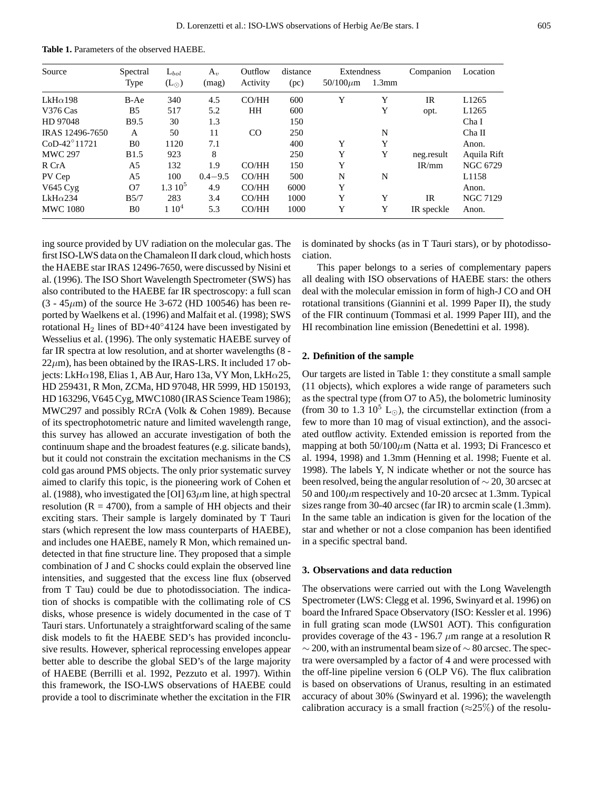**Table 1.** Parameters of the observed HAEBE.

| Source                | Spectral       | $L_{bol}$          | $A_v$       | Outflow       | distance | Extendness     |       | Companion  | Location          |
|-----------------------|----------------|--------------------|-------------|---------------|----------|----------------|-------|------------|-------------------|
|                       | Type           | $(L_{\odot})$      | (mag)       | Activity      | (pc)     | $50/100 \mu m$ | 1.3mm |            |                   |
| $LkH\alpha$ 198       | B-Ae           | 340                | 4.5         | CO/HH         | 600      | Y              | Y     | <b>IR</b>  | L1265             |
| V376 Cas              | B <sub>5</sub> | 517                | 5.2         | <b>HH</b>     | 600      |                | Y     | opt.       | L1265             |
| HD 97048              | <b>B</b> 9.5   | 30                 | 1.3         |               | 150      |                |       |            | Cha I             |
| IRAS 12496-7650       | A              | 50                 | 11          | <sub>CO</sub> | 250      |                | N     |            | Cha II            |
| $CoD-42^{\circ}11721$ | B <sub>0</sub> | 1120               | 7.1         |               | 400      | Y              | Y     |            | Anon.             |
| <b>MWC 297</b>        | <b>B1.5</b>    | 923                | 8           |               | 250      | Y              | Y     | neg.result | Aquila Rift       |
| R CrA                 | A5             | 132                | 1.9         | CO/HH         | 150      | Y              |       | IR/mm      | <b>NGC 6729</b>   |
| PV Cep                | A5             | 100                | $0.4 - 9.5$ | CO/HH         | 500      | N              | N     |            | L <sub>1158</sub> |
| $V645$ Cyg            | O7             | 1.310 <sup>5</sup> | 4.9         | CO/HH         | 6000     | Y              |       |            | Anon.             |
| $LkH\alpha$ 234       | B5/7           | 283                | 3.4         | CO/HH         | 1000     | Y              | Y     | <b>IR</b>  | <b>NGC 7129</b>   |
| <b>MWC 1080</b>       | B0             | 110 <sup>4</sup>   | 5.3         | CO/HH         | 1000     | Y              | Y     | IR speckle | Anon.             |

ing source provided by UV radiation on the molecular gas. The first ISO-LWS data on the Chamaleon II dark cloud, which hosts the HAEBE star IRAS 12496-7650, were discussed by Nisini et al. (1996). The ISO Short Wavelength Spectrometer (SWS) has also contributed to the HAEBE far IR spectroscopy: a full scan  $(3 - 45 \mu m)$  of the source He 3-672 (HD 100546) has been reported by Waelkens et al. (1996) and Malfait et al. (1998); SWS rotational H<sub>2</sub> lines of BD+40<sup>°</sup>4124 have been investigated by Wesselius et al. (1996). The only systematic HAEBE survey of far IR spectra at low resolution, and at shorter wavelengths (8 -  $22\mu$ m), has been obtained by the IRAS-LRS. It included 17 objects: LkH $\alpha$ 198, Elias 1, AB Aur, Haro 13a, VY Mon, LkH $\alpha$ 25, HD 259431, R Mon, ZCMa, HD 97048, HR 5999, HD 150193, HD 163296, V645 Cyg, MWC1080 (IRAS Science Team 1986); MWC297 and possibly RCrA (Volk & Cohen 1989). Because of its spectrophotometric nature and limited wavelength range, this survey has allowed an accurate investigation of both the continuum shape and the broadest features (e.g. silicate bands), but it could not constrain the excitation mechanisms in the CS cold gas around PMS objects. The only prior systematic survey aimed to clarify this topic, is the pioneering work of Cohen et al. (1988), who investigated the [OI]  $63\mu$ m line, at high spectral resolution ( $R = 4700$ ), from a sample of HH objects and their exciting stars. Their sample is largely dominated by T Tauri stars (which represent the low mass counterparts of HAEBE), and includes one HAEBE, namely R Mon, which remained undetected in that fine structure line. They proposed that a simple combination of J and C shocks could explain the observed line intensities, and suggested that the excess line flux (observed from T Tau) could be due to photodissociation. The indication of shocks is compatible with the collimating role of CS disks, whose presence is widely documented in the case of T Tauri stars. Unfortunately a straightforward scaling of the same disk models to fit the HAEBE SED's has provided inconclusive results. However, spherical reprocessing envelopes appear better able to describe the global SED's of the large majority of HAEBE (Berrilli et al. 1992, Pezzuto et al. 1997). Within this framework, the ISO-LWS observations of HAEBE could provide a tool to discriminate whether the excitation in the FIR

is dominated by shocks (as in T Tauri stars), or by photodissociation.

This paper belongs to a series of complementary papers all dealing with ISO observations of HAEBE stars: the others deal with the molecular emission in form of high-J CO and OH rotational transitions (Giannini et al. 1999 Paper II), the study of the FIR continuum (Tommasi et al. 1999 Paper III), and the HI recombination line emission (Benedettini et al. 1998).

#### **2. Definition of the sample**

Our targets are listed in Table 1: they constitute a small sample (11 objects), which explores a wide range of parameters such as the spectral type (from O7 to A5), the bolometric luminosity (from 30 to 1.3  $10^5$  L<sub>o</sub>), the circumstellar extinction (from a few to more than 10 mag of visual extinction), and the associated outflow activity. Extended emission is reported from the mapping at both  $50/100 \mu m$  (Natta et al. 1993; Di Francesco et al. 1994, 1998) and 1.3mm (Henning et al. 1998; Fuente et al. 1998). The labels Y, N indicate whether or not the source has been resolved, being the angular resolution of ∼ 20, 30 arcsec at 50 and  $100 \mu$ m respectively and 10-20 arcsec at 1.3mm. Typical sizes range from 30-40 arcsec (far IR) to arcmin scale (1.3mm). In the same table an indication is given for the location of the star and whether or not a close companion has been identified in a specific spectral band.

#### **3. Observations and data reduction**

The observations were carried out with the Long Wavelength Spectrometer (LWS: Clegg et al. 1996, Swinyard et al. 1996) on board the Infrared Space Observatory (ISO: Kessler et al. 1996) in full grating scan mode (LWS01 AOT). This configuration provides coverage of the 43 - 196.7  $\mu$ m range at a resolution R  $\sim$  200, with an instrumental beam size of  $\sim$  80 arcsec. The spectra were oversampled by a factor of 4 and were processed with the off-line pipeline version 6 (OLP V6). The flux calibration is based on observations of Uranus, resulting in an estimated accuracy of about 30% (Swinyard et al. 1996); the wavelength calibration accuracy is a small fraction ( $\approx$ 25%) of the resolu-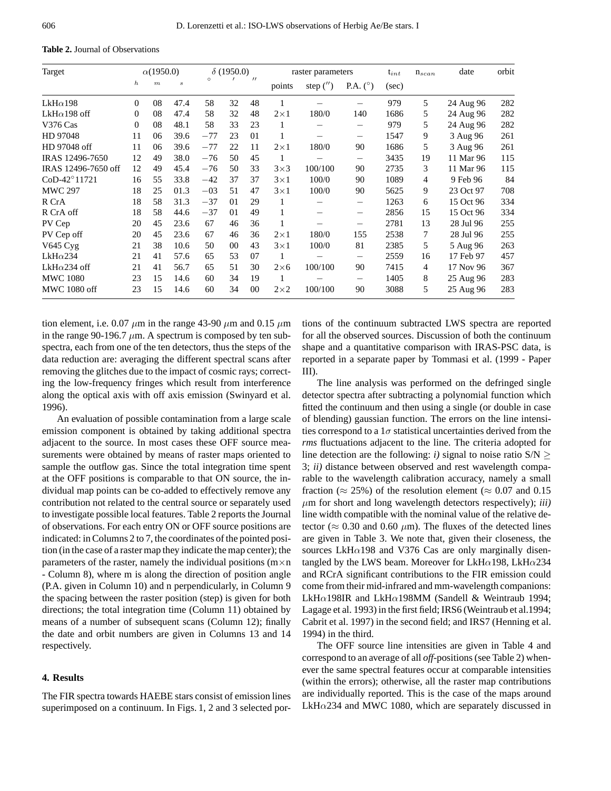**Table 2.** Journal of Observations

| Target               | $\alpha(1950.0)$ |                  | $\delta$ (1950.0) |         | raster parameters |                   |             | $t_{int}$   | $n_{scan}$               | date  | orbit |           |     |
|----------------------|------------------|------------------|-------------------|---------|-------------------|-------------------|-------------|-------------|--------------------------|-------|-------|-----------|-----|
|                      | $\boldsymbol{h}$ | $\boldsymbol{m}$ | $\boldsymbol{s}$  | $\circ$ |                   | $^{\prime\prime}$ | points      | step $('')$ | P.A. $(^\circ)$          | (sec) |       |           |     |
| $LkH\alpha$ 198      | $\Omega$         | 08               | 47.4              | 58      | 32                | 48                |             |             |                          | 979   | 5     | 24 Aug 96 | 282 |
| LkH $\alpha$ 198 off | $\Omega$         | 08               | 47.4              | 58      | 32                | 48                | $2\times1$  | 180/0       | 140                      | 1686  | 5     | 24 Aug 96 | 282 |
| V376 Cas             | $\Omega$         | 08               | 48.1              | 58      | 33                | 23                |             |             | $\overline{\phantom{0}}$ | 979   | 5     | 24 Aug 96 | 282 |
| HD 97048             | 11               | 06               | 39.6              | $-77$   | 23                | 0 <sub>1</sub>    |             |             | —                        | 1547  | 9     | 3 Aug 96  | 261 |
| HD 97048 off         | 11               | 06               | 39.6              | $-77$   | 22                | 11                | $2\times1$  | 180/0       | 90                       | 1686  | 5     | 3 Aug 96  | 261 |
| IRAS 12496-7650      | 12               | 49               | 38.0              | $-76$   | 50                | 45                |             |             | —                        | 3435  | 19    | 11 Mar 96 | 115 |
| IRAS 12496-7650 off  | 12               | 49               | 45.4              | $-76$   | 50                | 33                | $3\times3$  | 100/100     | 90                       | 2735  | 3     | 11 Mar 96 | 115 |
| CoD-42°11721         | 16               | 55               | 33.8              | $-42$   | 37                | 37                | $3\times1$  | 100/0       | 90                       | 1089  | 4     | 9 Feb 96  | 84  |
| <b>MWC 297</b>       | 18               | 25               | 01.3              | $-03$   | 51                | 47                | $3\times1$  | 100/0       | 90                       | 5625  | 9     | 23 Oct 97 | 708 |
| R CrA                | 18               | 58               | 31.3              | $-37$   | 01                | 29                |             |             | —                        | 1263  | 6     | 15 Oct 96 | 334 |
| R CrA off            | 18               | 58               | 44.6              | $-37$   | 01                | 49                |             |             | -                        | 2856  | 15    | 15 Oct 96 | 334 |
| PV Cep               | 20               | 45               | 23.6              | 67      | 46                | 36                |             |             | -                        | 2781  | 13    | 28 Jul 96 | 255 |
| PV Cep off           | 20               | 45               | 23.6              | 67      | 46                | 36                | $2\times1$  | 180/0       | 155                      | 2538  | 7     | 28 Jul 96 | 255 |
| $V645$ Cyg           | 21               | 38               | 10.6              | 50      | $00\,$            | 43                | $3\times1$  | 100/0       | 81                       | 2385  | 5     | 5 Aug 96  | 263 |
| $LkH\alpha$ 234      | 21               | 41               | 57.6              | 65      | 53                | 07                |             |             | -                        | 2559  | 16    | 17 Feb 97 | 457 |
| LkH $\alpha$ 234 off | 21               | 41               | 56.7              | 65      | 51                | 30                | $2\times 6$ | 100/100     | 90                       | 7415  | 4     | 17 Nov 96 | 367 |
| <b>MWC 1080</b>      | 23               | 15               | 14.6              | 60      | 34                | 19                |             |             | -                        | 1405  | 8     | 25 Aug 96 | 283 |
| MWC 1080 off         | 23               | 15               | 14.6              | 60      | 34                | 00                | $2\times2$  | 100/100     | 90                       | 3088  | 5     | 25 Aug 96 | 283 |

tion element, i.e. 0.07  $\mu$ m in the range 43-90  $\mu$ m and 0.15  $\mu$ m in the range 90-196.7  $\mu$ m. A spectrum is composed by ten subspectra, each from one of the ten detectors, thus the steps of the data reduction are: averaging the different spectral scans after removing the glitches due to the impact of cosmic rays; correcting the low-frequency fringes which result from interference along the optical axis with off axis emission (Swinyard et al. 1996).

An evaluation of possible contamination from a large scale emission component is obtained by taking additional spectra adjacent to the source. In most cases these OFF source measurements were obtained by means of raster maps oriented to sample the outflow gas. Since the total integration time spent at the OFF positions is comparable to that ON source, the individual map points can be co-added to effectively remove any contribution not related to the central source or separately used to investigate possible local features. Table 2 reports the Journal of observations. For each entry ON or OFF source positions are indicated: in Columns 2 to 7, the coordinates of the pointed position (in the case of a raster map they indicate the map center); the parameters of the raster, namely the individual positions  $(m \times n)$ - Column 8), where m is along the direction of position angle (P.A. given in Column 10) and n perpendicularly, in Column 9 the spacing between the raster position (step) is given for both directions; the total integration time (Column 11) obtained by means of a number of subsequent scans (Column 12); finally the date and orbit numbers are given in Columns 13 and 14 respectively.

### **4. Results**

The FIR spectra towards HAEBE stars consist of emission lines superimposed on a continuum. In Figs. 1, 2 and 3 selected portions of the continuum subtracted LWS spectra are reported for all the observed sources. Discussion of both the continuum shape and a quantitative comparison with IRAS-PSC data, is reported in a separate paper by Tommasi et al. (1999 - Paper III).

The line analysis was performed on the defringed single detector spectra after subtracting a polynomial function which fitted the continuum and then using a single (or double in case of blending) gaussian function. The errors on the line intensities correspond to a  $1\sigma$  statistical uncertainties derived from the *rms* fluctuations adjacent to the line. The criteria adopted for line detection are the following: *i*) signal to noise ratio  $S/N \geq$ 3; *ii)* distance between observed and rest wavelength comparable to the wavelength calibration accuracy, namely a small fraction ( $\approx 25\%$ ) of the resolution element ( $\approx 0.07$  and 0.15  $\mu$ m for short and long wavelength detectors respectively); *iii*) line width compatible with the nominal value of the relative detector ( $\approx 0.30$  and 0.60  $\mu$ m). The fluxes of the detected lines are given in Table 3. We note that, given their closeness, the sources LkH $\alpha$ 198 and V376 Cas are only marginally disentangled by the LWS beam. Moreover for LkH $\alpha$ 198, LkH $\alpha$ 234 and RCrA significant contributions to the FIR emission could come from their mid-infrared and mm-wavelength companions: LkH $\alpha$ 198IR and LkH $\alpha$ 198MM (Sandell & Weintraub 1994; Lagage et al. 1993) in the first field; IRS6 (Weintraub et al.1994; Cabrit et al. 1997) in the second field; and IRS7 (Henning et al. 1994) in the third.

The OFF source line intensities are given in Table 4 and correspond to an average of all *off*-positions (see Table 2) whenever the same spectral features occur at comparable intensities (within the errors); otherwise, all the raster map contributions are individually reported. This is the case of the maps around LkH $\alpha$ 234 and MWC 1080, which are separately discussed in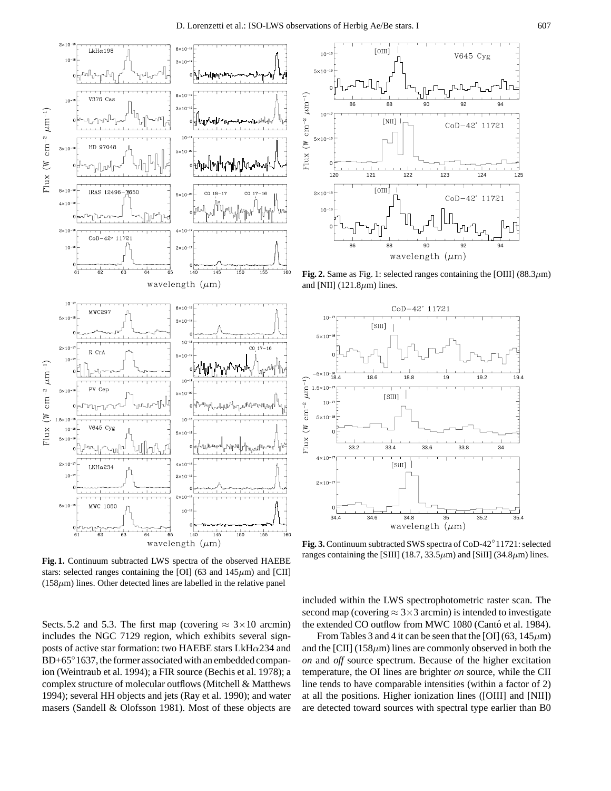

**Fig. 1.** Continuum subtracted LWS spectra of the observed HAEBE stars: selected ranges containing the [OI] (63 and  $145 \mu m$ ) and [CII]  $(158\mu m)$  lines. Other detected lines are labelled in the relative panel

Sects. 5.2 and 5.3. The first map (covering  $\approx 3 \times 10$  arcmin) includes the NGC 7129 region, which exhibits several signposts of active star formation: two HAEBE stars LkH $\alpha$ 234 and BD+65°1637, the former associated with an embedded companion (Weintraub et al. 1994); a FIR source (Bechis et al. 1978); a complex structure of molecular outflows (Mitchell & Matthews 1994); several HH objects and jets (Ray et al. 1990); and water masers (Sandell & Olofsson 1981). Most of these objects are



**Fig. 2.** Same as Fig. 1: selected ranges containing the [OIII] (88.3 $\mu$ m) and [NII] (121.8 $\mu$ m) lines.



**Fig. 3.** Continuum subtracted SWS spectra of CoD-42◦11721: selected ranges containing the [SIII] (18.7, 33.5 $\mu$ m) and [SiII] (34.8 $\mu$ m) lines.

included within the LWS spectrophotometric raster scan. The second map (covering  $\approx$  3×3 arcmin) is intended to investigate the extended CO outflow from MWC 1080 (Cantó et al. 1984).

From Tables 3 and 4 it can be seen that the [OI] (63,  $145 \mu m$ ) and the [CII] (158 $\mu$ m) lines are commonly observed in both the *on* and *off* source spectrum. Because of the higher excitation temperature, the OI lines are brighter *on* source, while the CII line tends to have comparable intensities (within a factor of 2) at all the positions. Higher ionization lines ([OIII] and [NII]) are detected toward sources with spectral type earlier than B0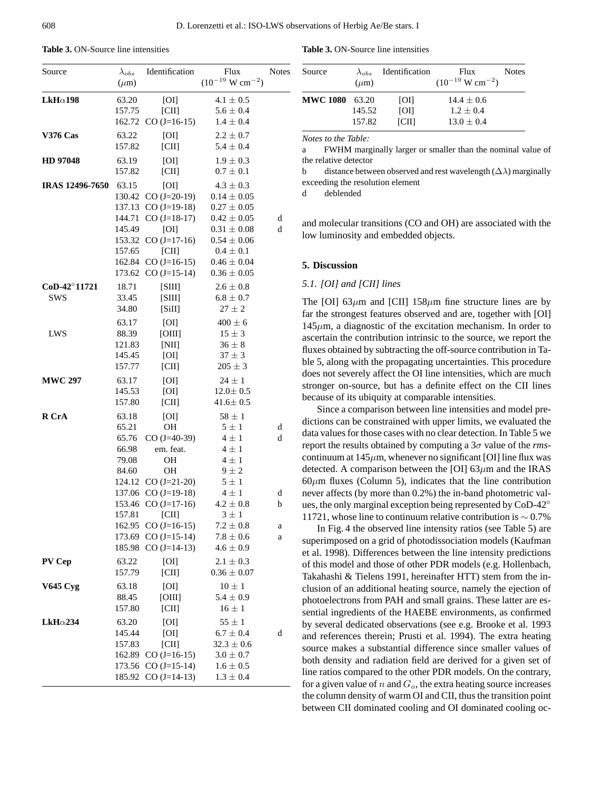| Source                 | $\lambda_{obs}$<br>$(\mu m)$ | Identification                        | Flux<br>$(10^{-19} \text{ W cm}^{-2})$ | Notes  |
|------------------------|------------------------------|---------------------------------------|----------------------------------------|--------|
| $LkH\alpha$ 198        | 63.20                        | [O]                                   | $4.1 \pm 0.5$                          |        |
|                        | 157.75                       | [CH]                                  | $5.6 \pm 0.4$                          |        |
|                        |                              | 162.72 CO $(J=16-15)$                 | $1.4 \pm 0.4$                          |        |
| <b>V376 Cas</b>        | 63.22                        | [O]                                   | $2.2 \pm 0.7$                          |        |
|                        | 157.82                       | [CH]                                  | $5.4 \pm 0.4$                          |        |
| HD 97048               | 63.19                        | [OI]                                  | $1.9 \pm 0.3$                          |        |
|                        | 157.82                       | [CH]                                  | $0.7 \pm 0.1$                          |        |
| <b>IRAS 12496-7650</b> | 63.15                        | [OI]                                  | $4.3 \pm 0.3$                          |        |
|                        |                              | 130.42 CO (J=20-19)                   | $0.14 \pm 0.05$                        |        |
|                        |                              | 137.13 $CO (J=19-18)$                 | $0.27 \pm 0.05$                        |        |
|                        | 144.71                       | $CO (J=18-17)$                        | $0.42 \pm 0.05$                        | d      |
|                        | 145.49                       | [O]                                   | $0.31 \pm 0.08$                        | d      |
|                        | 153.32                       | $CO (J=17-16)$                        | $0.54 \pm 0.06$                        |        |
|                        | 157.65                       | [CH]                                  | $0.4 \pm 0.1$                          |        |
|                        | 162.84                       | $CO (J=16-15)$                        | $0.46 \pm 0.04$                        |        |
|                        | 173.62                       | $CO (J=15-14)$                        | $0.36 \pm 0.05$                        |        |
| CoD-42°11721           | 18.71                        | [SIII]                                | $2.6\pm0.8$                            |        |
| <b>SWS</b>             | 33.45                        | [SIII]                                | $6.8 \pm 0.7$                          |        |
|                        | 34.80                        | [SiII]                                | $27 \pm 2$                             |        |
|                        | 63.17                        | [OI]                                  | $400 \pm 6$                            |        |
| LWS                    | 88.39                        | [OIII]                                | $15 \pm 3$                             |        |
|                        | 121.83                       | [NII]                                 | $36 \pm 8$                             |        |
|                        | 145.45<br>157.77             | [OI]<br>[CH]                          | $37 \pm 3$<br>$205 \pm 3$              |        |
|                        |                              |                                       |                                        |        |
| <b>MWC 297</b>         | 63.17<br>145.53              | [OI]<br>[OI]                          | $24 \pm 1$<br>$12.0 \pm 0.5$           |        |
|                        | 157.80                       | [CH]                                  | $41.6 \pm 0.5$                         |        |
| R CrA                  |                              |                                       | $58 \pm 1$                             |        |
|                        | 63.18<br>65.21               | [OI]<br><b>OH</b>                     | $5 \pm 1$                              | d      |
|                        | 65.76                        | $CO$ (J=40-39)                        | $4 \pm 1$                              | d      |
|                        | 66.98                        | em. feat.                             | $4 \pm 1$                              |        |
|                        | 79.08                        | <b>OH</b>                             | $4 \pm 1$                              |        |
|                        | 84.60                        | <b>OH</b>                             | $9 \pm 2$                              |        |
|                        | 124.12                       | $CO (J=21-20)$                        | $5 \pm 1$                              |        |
|                        | 137.06                       | $CO (J=19-18)$                        | $4 \pm 1$                              | d      |
|                        | 153.46                       | $CO (J=17-16)$                        | $4.2 \pm 0.8$                          | b      |
|                        | 157.81                       | [CH]                                  | $3 \pm 1$                              |        |
|                        | 162.95                       | $CO$ (J=16-15)<br>173.69 CO (J=15-14) | $7.2\pm0.8$<br>$7.8 \pm 0.6$           | a<br>a |
|                        | 185.98                       | $CO$ (J=14-13)                        | $4.6 \pm 0.9$                          |        |
| PV Cep                 | 63.22                        | [O]                                   | $2.1 \pm 0.3$                          |        |
|                        | 157.79                       | [CH]                                  | $0.36 \pm 0.07$                        |        |
| <b>V645 Cyg</b>        | 63.18                        | [OI]                                  | $10 \pm 1$                             |        |
|                        | 88.45                        | [OIII]                                | $5.4 \pm 0.9$                          |        |
|                        | 157.80                       | [CH]                                  | $16 \pm 1$                             |        |
| $LkH\alpha$ 234        | 63.20                        | [OI]                                  | $55 \pm 1$                             |        |
|                        | 145.44                       | [O]                                   | $6.7 \pm 0.4$                          | d      |
|                        | 157.83                       | [CH]                                  | $32.3 \pm 0.6$                         |        |
|                        | 162.89                       | $CO$ (J=16-15)                        | $3.0 \pm 0.7$                          |        |
|                        | 173.56                       | $CO$ (J=15-14)                        | $1.6 \pm 0.5$                          |        |
|                        | 185.92                       | $CO$ (J=14-13)                        | $1.3 \pm 0.4$                          |        |
|                        |                              |                                       |                                        |        |

**Table 3.** ON-Source line intensities

| Source                | $\lambda_{obs}$<br>$(\mu m)$ | Identification           | <b>Flux</b><br>$(10^{-19} \text{ W cm}^{-2})$ | <b>Notes</b> |
|-----------------------|------------------------------|--------------------------|-----------------------------------------------|--------------|
| <b>MWC 1080</b> 63.20 | 145.52                       | <b>TOI</b><br><b>TOI</b> | $14.4 + 0.6$<br>$1.2 + 0.4$                   |              |
|                       | 157.82                       | <b>ICIII</b>             | $13.0 + 0.4$                                  |              |

*Notes to the Table:*

a FWHM marginally larger or smaller than the nominal value of the relative detector

b distance between observed and rest wavelength  $(\Delta \lambda)$  marginally exceeding the resolution element

d deblended

and molecular transitions (CO and OH) are associated with the low luminosity and embedded objects.

#### **5. Discussion**

### *5.1. [OI] and [CII] lines*

The [OI]  $63\mu$ m and [CII] 158 $\mu$ m fine structure lines are by far the strongest features observed and are, together with [OI]  $145\mu$ m, a diagnostic of the excitation mechanism. In order to ascertain the contribution intrinsic to the source, we report the fluxes obtained by subtracting the off-source contribution in Table 5, along with the propagating uncertainties. This procedure does not severely affect the OI line intensities, which are much stronger on-source, but has a definite effect on the CII lines because of its ubiquity at comparable intensities.

Since a comparison between line intensities and model predictions can be constrained with upper limits, we evaluated the data values for those cases with no clear detection. In Table 5 we report the results obtained by computing a 3σ value of the *rms*continuum at  $145\mu$ m, whenever no significant [OI] line flux was detected. A comparison between the [OI]  $63\mu$ m and the IRAS  $60\mu$ m fluxes (Column 5), indicates that the line contribution never affects (by more than 0.2%) the in-band photometric values, the only marginal exception being represented by CoD-42◦ 11721, whose line to continuum relative contribution is ∼ 0.7%

In Fig. 4 the observed line intensity ratios (see Table 5) are superimposed on a grid of photodissociation models (Kaufman et al. 1998). Differences between the line intensity predictions of this model and those of other PDR models (e.g. Hollenbach, Takahashi & Tielens 1991, hereinafter HTT) stem from the inclusion of an additional heating source, namely the ejection of photoelectrons from PAH and small grains. These latter are essential ingredients of the HAEBE environments, as confirmed by several dedicated observations (see e.g. Brooke et al. 1993 and references therein; Prusti et al. 1994). The extra heating source makes a substantial difference since smaller values of both density and radiation field are derived for a given set of line ratios compared to the other PDR models. On the contrary, for a given value of n and  $G<sub>o</sub>$ , the extra heating source increases the column density of warm OI and CII, thus the transition point between CII dominated cooling and OI dominated cooling oc-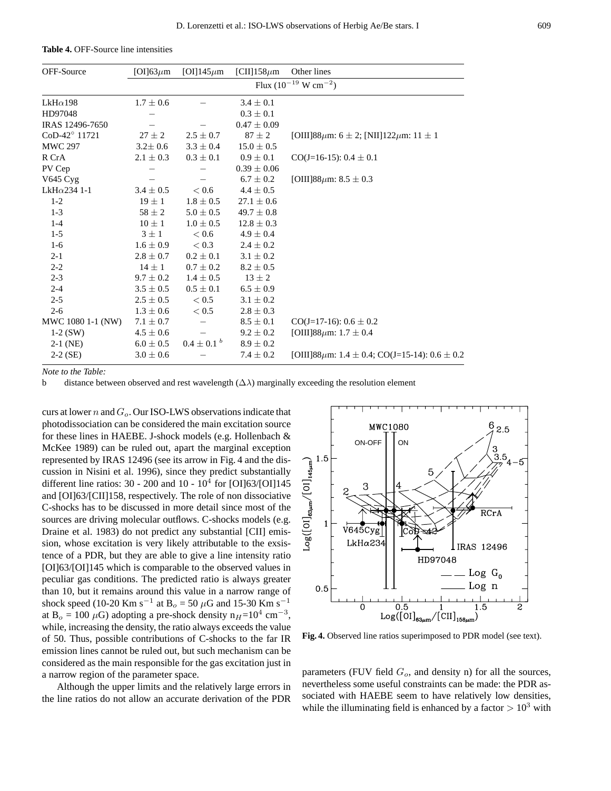| OFF-Source           | [OI] $63\mu$ m                      | [OI]145 $\mu$ m   | [CII]158 $\mu$ m | Other lines                                         |  |  |  |  |  |
|----------------------|-------------------------------------|-------------------|------------------|-----------------------------------------------------|--|--|--|--|--|
|                      | Flux $(10^{-19} \text{ W cm}^{-2})$ |                   |                  |                                                     |  |  |  |  |  |
| $LkH\alpha$ 198      | $1.7 \pm 0.6$                       |                   | $3.4 \pm 0.1$    |                                                     |  |  |  |  |  |
| HD97048              |                                     |                   | $0.3 \pm 0.1$    |                                                     |  |  |  |  |  |
| IRAS 12496-7650      |                                     |                   | $0.47 \pm 0.09$  |                                                     |  |  |  |  |  |
| CoD-42° 11721        | $27 \pm 2$                          | $2.5 \pm 0.7$     | $87 \pm 2$       | [OIII]88 $\mu$ m: 6 ± 2; [NII]122 $\mu$ m: 11 ± 1   |  |  |  |  |  |
| <b>MWC 297</b>       | $3.2 \pm 0.6$                       | $3.3 \pm 0.4$     | $15.0 \pm 0.5$   |                                                     |  |  |  |  |  |
| R CrA                | $2.1 \pm 0.3$                       | $0.3 \pm 0.1$     | $0.9 \pm 0.1$    | $CO(J=16-15): 0.4 \pm 0.1$                          |  |  |  |  |  |
| PV Cep               |                                     |                   | $0.39 \pm 0.06$  |                                                     |  |  |  |  |  |
| V645 Cyg             |                                     |                   | $6.7 \pm 0.2$    | [OIII]88 $\mu$ m: 8.5 $\pm$ 0.3                     |  |  |  |  |  |
| LkH $\alpha$ 234 1-1 | $3.4 \pm 0.5$                       | < 0.6             | $4.4 \pm 0.5$    |                                                     |  |  |  |  |  |
| $1 - 2$              | $19 \pm 1$                          | $1.8 \pm 0.5$     | $27.1 \pm 0.6$   |                                                     |  |  |  |  |  |
| $1 - 3$              | $58 \pm 2$                          | $5.0 \pm 0.5$     | $49.7 \pm 0.8$   |                                                     |  |  |  |  |  |
| $1 - 4$              | $10 \pm 1$                          | $1.0 \pm 0.5$     | $12.8 \pm 0.3$   |                                                     |  |  |  |  |  |
| $1-5$                | $3 \pm 1$                           | < 0.6             | $4.9 \pm 0.4$    |                                                     |  |  |  |  |  |
| $1-6$                | $1.6 \pm 0.9$                       | < 0.3             | $2.4 \pm 0.2$    |                                                     |  |  |  |  |  |
| $2 - 1$              | $2.8 \pm 0.7$                       | $0.2 \pm 0.1$     | $3.1 \pm 0.2$    |                                                     |  |  |  |  |  |
| $2 - 2$              | $14 \pm 1$                          | $0.7 \pm 0.2$     | $8.2 \pm 0.5$    |                                                     |  |  |  |  |  |
| $2 - 3$              | $9.7 \pm 0.2$                       | $1.4 \pm 0.5$     | $13 \pm 2$       |                                                     |  |  |  |  |  |
| $2 - 4$              | $3.5 \pm 0.5$                       | $0.5 \pm 0.1$     | $6.5 \pm 0.9$    |                                                     |  |  |  |  |  |
| $2 - 5$              | $2.5 \pm 0.5$                       | ${}< 0.5$         | $3.1 \pm 0.2$    |                                                     |  |  |  |  |  |
| $2 - 6$              | $1.3 \pm 0.6$                       | < 0.5             | $2.8 \pm 0.3$    |                                                     |  |  |  |  |  |
| MWC 1080 1-1 (NW)    | $7.1 \pm 0.7$                       |                   | $8.5 \pm 0.1$    | $CO(J=17-16)$ : 0.6 $\pm$ 0.2                       |  |  |  |  |  |
| $1-2$ (SW)           | $4.5 \pm 0.6$                       |                   | $9.2 \pm 0.2$    | [OIII]88 $\mu$ m: 1.7 $\pm$ 0.4                     |  |  |  |  |  |
| $2-1$ (NE)           | $6.0 \pm 0.5$                       | $0.4 \pm 0.1^{b}$ | $8.9 \pm 0.2$    |                                                     |  |  |  |  |  |
| $2-2$ (SE)           | $3.0 \pm 0.6$                       |                   | $7.4 \pm 0.2$    | [OIII]88 $\mu$ m: 1.4 ± 0.4; CO(J=15-14): 0.6 ± 0.2 |  |  |  |  |  |

**Table 4.** OFF-Source line intensities

*Note to the Table:*

b distance between observed and rest wavelength  $(\Delta \lambda)$  marginally exceeding the resolution element

curs at lower n and  $G<sub>o</sub>$ . Our ISO-LWS observations indicate that photodissociation can be considered the main excitation source for these lines in HAEBE. J-shock models (e.g. Hollenbach & McKee 1989) can be ruled out, apart the marginal exception represented by IRAS 12496 (see its arrow in Fig. 4 and the discussion in Nisini et al. 1996), since they predict substantially different line ratios:  $30 - 200$  and  $10 - 10<sup>4</sup>$  for [OI]63/[OI]145 and [OI]63/[CII]158, respectively. The role of non dissociative C-shocks has to be discussed in more detail since most of the sources are driving molecular outflows. C-shocks models (e.g. Draine et al. 1983) do not predict any substantial [CII] emission, whose excitation is very likely attributable to the exsistence of a PDR, but they are able to give a line intensity ratio [OI]63/[OI]145 which is comparable to the observed values in peculiar gas conditions. The predicted ratio is always greater than 10, but it remains around this value in a narrow range of shock speed (10-20 Km s<sup>-1</sup> at B<sub>o</sub> = 50 µG and 15-30 Km s<sup>-1</sup> at B<sub>o</sub> = 100  $\mu$ G) adopting a pre-shock density n<sub>H</sub>=10<sup>4</sup> cm<sup>-3</sup>, while, increasing the density, the ratio always exceeds the value of 50. Thus, possible contributions of C-shocks to the far IR emission lines cannot be ruled out, but such mechanism can be considered as the main responsible for the gas excitation just in a narrow region of the parameter space.

Although the upper limits and the relatively large errors in the line ratios do not allow an accurate derivation of the PDR



**Fig. 4.** Observed line ratios superimposed to PDR model (see text).

parameters (FUV field  $G<sub>o</sub>$ , and density n) for all the sources, nevertheless some useful constraints can be made: the PDR associated with HAEBE seem to have relatively low densities, while the illuminating field is enhanced by a factor  $> 10^3$  with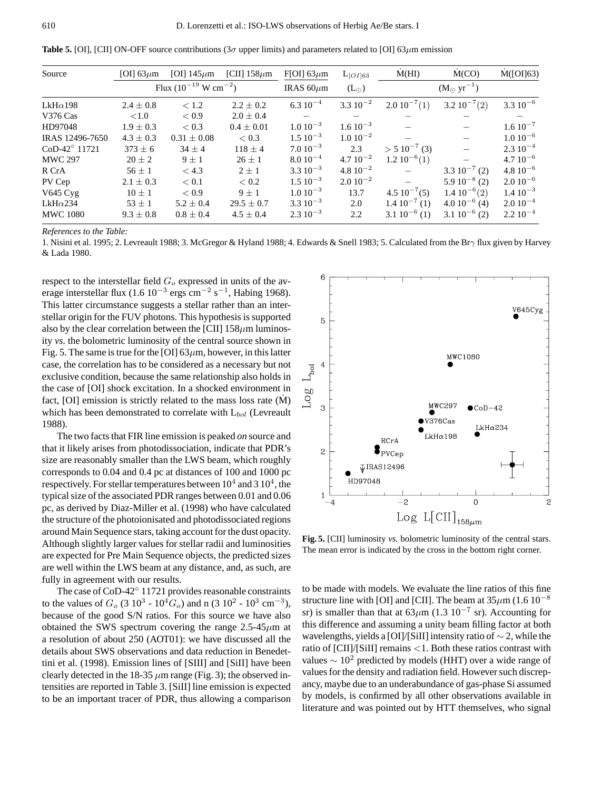**Table 5.** [OI], [CII] ON-OFF source contributions (3 $\sigma$  upper limits) and parameters related to [OI] 63 $\mu$ m emission

| Source                 | [OI] $63\mu$ m                      | [OI] $145 \mu m$ | [CII] $158 \mu m$ | F[OI] $63\mu$ m      | $L_{[O I] 63}$        | $\dot{M}(HI)$     | M(CO)            | $\dot{M}([O\bar{O}]63)$ |
|------------------------|-------------------------------------|------------------|-------------------|----------------------|-----------------------|-------------------|------------------|-------------------------|
|                        | Flux $(10^{-19} \text{ W cm}^{-2})$ |                  | IRAS $60 \mu m$   | $(L_{\odot})$        | $(M_{\odot} yr^{-1})$ |                   |                  |                         |
| $LkH\alpha$ 198        | $2.4 \pm 0.8$                       | < 1.2            | $2.2 \pm 0.2$     | $6.310^{-4}$         | $3.310^{-2}$          | $2.010^{-7}(1)$   | $3.210^{-7}(2)$  | $3.310^{-6}$            |
| <b>V376 Cas</b>        | < 1.0                               | ${}_{< 0.9}$     | $2.0 \pm 0.4$     |                      |                       |                   |                  |                         |
| HD97048                | $1.9 + 0.3$                         | < 0.3            | $0.4 + 0.01$      | $1.010^{-3}$         | $1.6 10^{-3}$         |                   |                  | $1.6 10^{-7}$           |
| IRAS 12496-7650        | $4.3 \pm 0.3$                       | $0.31 \pm 0.08$  | < 0.3             | $1.5 \times 10^{-3}$ | $1.0 10^{-2}$         |                   |                  | $1.010^{-6}$            |
| $CoD-42^{\circ}$ 11721 | $373 \pm 6$                         | $34 + 4$         | $118 + 4$         | $7.010^{-3}$         | 2.3                   | $> 510^{-7}$ (3)  |                  | $2.310^{-4}$            |
| <b>MWC 297</b>         | $20 \pm 2$                          | $9 + 1$          | $26 + 1$          | $8.010^{-4}$         | $4.710^{-2}$          | $1.210^{-6}(1)$   |                  | $4.710^{-6}$            |
| R CrA                  | $56 \pm 1$                          | < 4.3            | $2 + 1$           | $3.310^{-3}$         | $4.8\ 10^{-2}$        |                   | $3.310^{-7}$ (2) | $4.810^{-6}$            |
| PV Cep                 | $2.1 \pm 0.3$                       | < 0.1            | < 0.2             | $1.510^{-3}$         | $2.010^{-2}$          |                   | $5.910^{-8}$ (2) | $2.010^{-6}$            |
| V645 Cyg               | $10 \pm 1$                          | < 0.9            | $9 + 1$           | $1.0 10^{-3}$        | 13.7                  | $4.5 10^{-7} (5)$ | $1.410^{-6}(2)$  | $1.4~10^{-3}$           |
| $LkH\alpha$ 234        | $53 + 1$                            | $5.2 \pm 0.4$    | $29.5 \pm 0.7$    | $3.310^{-3}$         | 2.0                   | $1.4~10^{-7}$ (1) | $4.010^{-6}$ (4) | $2.010^{-4}$            |
| <b>MWC 1080</b>        | $9.3 \pm 0.8$                       | $0.8 \pm 0.4$    | $4.5 \pm 0.4$     | $2.310^{-3}$         | 2.2                   | $3.110^{-6}$ (1)  | $3.110^{-6}$ (2) | $2.210^{-4}$            |

*References to the Table:*

1. Nisini et al. 1995; 2. Levreault 1988; 3. McGregor & Hyland 1988; 4. Edwards & Snell 1983; 5. Calculated from the Brγ flux given by Harvey & Lada 1980.

respect to the interstellar field  $G<sub>o</sub>$  expressed in units of the average interstellar flux (1.6  $10^{-3}$  ergs cm<sup>-2</sup> s<sup>-1</sup>, Habing 1968). This latter circumstance suggests a stellar rather than an interstellar origin for the FUV photons. This hypothesis is supported also by the clear correlation between the [CII]  $158 \mu m$  luminosity *vs.* the bolometric luminosity of the central source shown in Fig. 5. The same is true for the [OI]  $63\mu$ m, however, in this latter case, the correlation has to be considered as a necessary but not exclusive condition, because the same relationship also holds in the case of [OI] shock excitation. In a shocked environment in fact,  $[O]$  emission is strictly related to the mass loss rate  $(M)$ which has been demonstrated to correlate with  $L_{bol}$  (Levreault 1988).

The two facts that FIR line emission is peaked *on* source and that it likely arises from photodissociation, indicate that PDR's size are reasonably smaller than the LWS beam, which roughly corresponds to 0.04 and 0.4 pc at distances of 100 and 1000 pc respectively. For stellar temperatures between  $10^4$  and  $3 10^4$ , the typical size of the associated PDR ranges between 0.01 and 0.06 pc, as derived by Diaz-Miller et al. (1998) who have calculated the structure of the photoionisated and photodissociated regions around Main Sequence stars, taking account for the dust opacity. Although slightly larger values for stellar radii and luminosities are expected for Pre Main Sequence objects, the predicted sizes are well within the LWS beam at any distance, and, as such, are fully in agreement with our results.

The case of CoD-42◦ 11721 provides reasonable constraints to the values of  $G_0$  (3 10<sup>3</sup> - 10<sup>4</sup> $G_0$ ) and n (3 10<sup>2</sup> - 10<sup>3</sup> cm<sup>-3</sup>), because of the good S/N ratios. For this source we have also obtained the SWS spectrum covering the range  $2.5-45 \mu m$  at a resolution of about 250 (AOT01): we have discussed all the details about SWS observations and data reduction in Benedettini et al. (1998). Emission lines of [SIII] and [SiII] have been clearly detected in the 18-35  $\mu$ m range (Fig. 3); the observed intensities are reported in Table 3. [SiII] line emission is expected to be an important tracer of PDR, thus allowing a comparison



**Fig. 5.** [CII] luminosity *vs.* bolometric luminosity of the central stars. The mean error is indicated by the cross in the bottom right corner.

to be made with models. We evaluate the line ratios of this fine structure line with [OI] and [CII]. The beam at  $35\mu$ m (1.6 10<sup>-8</sup>) sr) is smaller than that at  $63\mu$ m (1.3 10<sup>-7</sup> sr). Accounting for this difference and assuming a unity beam filling factor at both wavelengths, yields a [OI]/[SiII] intensity ratio of ∼ 2, while the ratio of [CII]/[SiII] remains <1. Both these ratios contrast with values  $\sim 10^2$  predicted by models (HHT) over a wide range of values for the density and radiation field. However such discrepancy, maybe due to an underabundance of gas-phase Si assumed by models, is confirmed by all other observations available in literature and was pointed out by HTT themselves, who signal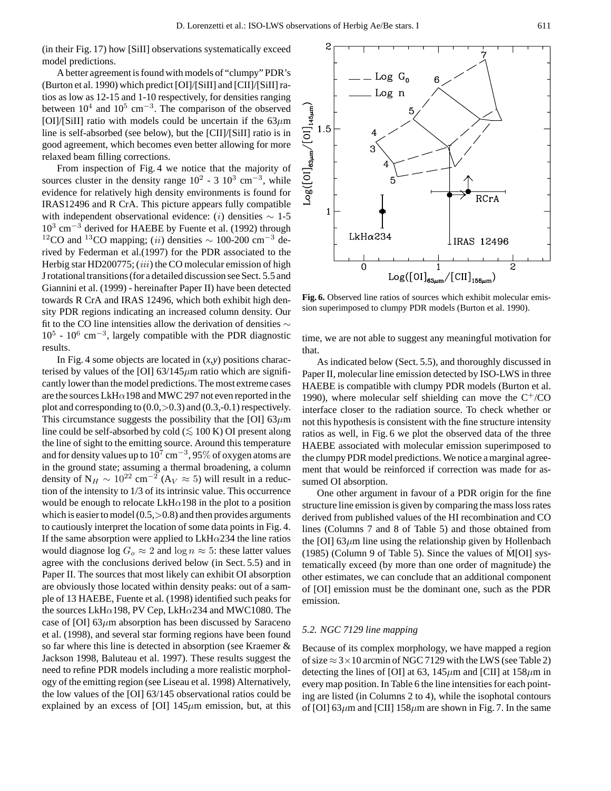2

(in their Fig. 17) how [SiII] observations systematically exceed model predictions.

A better agreement is found with models of "clumpy" PDR's (Burton et al. 1990) which predict [OI]/[SiII] and [CII]/[SiII] ratios as low as 12-15 and 1-10 respectively, for densities ranging<br>between 10<sup>4</sup> and 10<sup>5</sup> cm<sup>-3</sup>. The comparison of the observed<br>[OI]/[SiII] ratio with models could be uncertain if the 63 $\mu$ m<br>line is self-absorbed (see b between  $10^4$  and  $10^5$  cm<sup>-3</sup>. The comparison of the observed [OI]/[SiII] ratio with models could be uncertain if the  $63\mu$ m line is self-absorbed (see below), but the [CII]/[SiII] ratio is in good agreement, which becomes even better allowing for more relaxed beam filling corrections.

From inspection of Fig. 4 we notice that the majority of sources cluster in the density range  $10^2$  - 3  $10^3$  cm<sup>-3</sup>, while evidence for relatively high density environments is found for IRAS12496 and R CrA. This picture appears fully compatible with independent observational evidence: (i) densities  $\sim 1$ -5 10<sup>3</sup> cm−<sup>3</sup> derived for HAEBE by Fuente et al. (1992) through <sup>12</sup>CO and <sup>13</sup>CO mapping; (ii) densities  $\sim$  100-200 cm<sup>-3</sup> derived by Federman et al.(1997) for the PDR associated to the Herbig star HD200775; (iii) the CO molecular emission of high J rotational transitions (for a detailed discussion see Sect. 5.5 and Giannini et al. (1999) - hereinafter Paper II) have been detected towards R CrA and IRAS 12496, which both exhibit high density PDR regions indicating an increased column density. Our fit to the CO line intensities allow the derivation of densities ∼  $10^5$  -  $10^6$  cm<sup>-3</sup>, largely compatible with the PDR diagnostic results.

In Fig. 4 some objects are located in (*x,y*) positions characterised by values of the [OI]  $63/145 \mu m$  ratio which are significantly lower than the model predictions. The most extreme cases are the sources LkH $\alpha$ 198 and MWC 297 not even reported in the plot and corresponding to  $(0.0, >0.3)$  and  $(0.3, -0.1)$  respectively. This circumstance suggests the possibility that the [OI] 63 $\mu$ m line could be self-absorbed by cold ( $\lesssim 100$  K) OI present along the line of sight to the emitting source. Around this temperature and for density values up to  $10^7$  cm<sup>-3</sup>, 95% of oxygen atoms are in the ground state; assuming a thermal broadening, a column density of N<sub>H</sub>  $\sim 10^{22}$  cm<sup>-2</sup> (A<sub>V</sub>  $\approx 5$ ) will result in a reduction of the intensity to 1/3 of its intrinsic value. This occurrence would be enough to relocate  $LkH\alpha$ 198 in the plot to a position which is easier to model  $(0.5, >0.8)$  and then provides arguments to cautiously interpret the location of some data points in Fig. 4. If the same absorption were applied to  $LkH\alpha$ 234 the line ratios would diagnose  $\log G_o \approx 2$  and  $\log n \approx 5$ : these latter values agree with the conclusions derived below (in Sect. 5.5) and in Paper II. The sources that most likely can exhibit OI absorption are obviously those located within density peaks: out of a sample of 13 HAEBE, Fuente et al. (1998) identified such peaks for the sources LkH $\alpha$ 198, PV Cep, LkH $\alpha$ 234 and MWC1080. The case of [OI]  $63\mu$ m absorption has been discussed by Saraceno et al. (1998), and several star forming regions have been found so far where this line is detected in absorption (see Kraemer & Jackson 1998, Baluteau et al. 1997). These results suggest the need to refine PDR models including a more realistic morphology of the emitting region (see Liseau et al. 1998) Alternatively, the low values of the [OI] 63/145 observational ratios could be explained by an excess of [OI]  $145\mu$ m emission, but, at this

 $\overline{\phantom{a}}$  Log  $\overline{G}_0$ หิ Log n 5  $\overline{4}$ 3 Ē.  $\overline{\mathrm{RCrA}}$  $\mathbf{1}$ LkHα234 | IRAS 12496  $\overline{0}$  $\mathbf{1}$ 2  $Log([OI]_{63\mu m}/[CII]_{158\mu m})$ 

**Fig. 6.** Observed line ratios of sources which exhibit molecular emission superimposed to clumpy PDR models (Burton et al. 1990).

time, we are not able to suggest any meaningful motivation for that.

As indicated below (Sect. 5.5), and thoroughly discussed in Paper II, molecular line emission detected by ISO-LWS in three HAEBE is compatible with clumpy PDR models (Burton et al. 1990), where molecular self shielding can move the  $C^{+}/CO$ interface closer to the radiation source. To check whether or not this hypothesis is consistent with the fine structure intensity ratios as well, in Fig. 6 we plot the observed data of the three HAEBE associated with molecular emission superimposed to the clumpy PDR model predictions. We notice a marginal agreement that would be reinforced if correction was made for assumed OI absorption.

One other argument in favour of a PDR origin for the fine structure line emission is given by comparing the mass loss rates derived from published values of the HI recombination and CO lines (Columns 7 and 8 of Table 5) and those obtained from the [OI]  $63\mu$ m line using the relationship given by Hollenbach (1985) (Column 9 of Table 5). Since the values of  $\dot{M}$ [OI] systematically exceed (by more than one order of magnitude) the other estimates, we can conclude that an additional component of [OI] emission must be the dominant one, such as the PDR emission.

# *5.2. NGC 7129 line mapping*

Because of its complex morphology, we have mapped a region of size  $\approx$  3  $\times$  10 arcmin of NGC 7129 with the LWS (see Table 2) detecting the lines of [OI] at 63,  $145 \mu m$  and [CII] at  $158 \mu m$  in every map position. In Table 6 the line intensities for each pointing are listed (in Columns 2 to 4), while the isophotal contours of [OI] 63 $\mu$ m and [CII] 158 $\mu$ m are shown in Fig. 7. In the same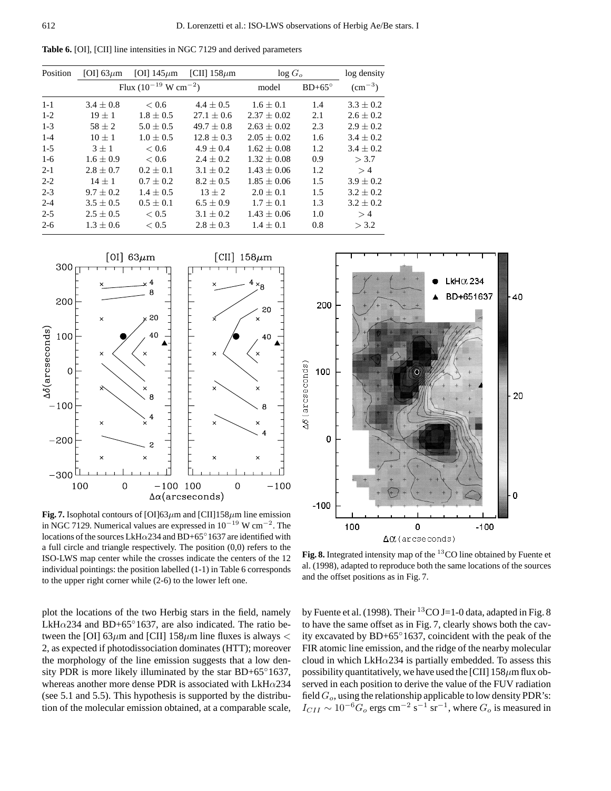Position [OI] 63 $\mu$ m [OI] 145 $\mu$ m [CII] 158 $\mu$ m log G<sub>o</sub> log density Flux  $(10^{-19} \text{ W cm}^{-2})$  model BD+65°  $(\text{cm}^{-3})$ 1-1  $3.4 \pm 0.8$   $< 0.6$   $4.4 \pm 0.5$   $1.6 \pm 0.1$   $1.4$   $3.3 \pm 0.2$ 1-2  $19 \pm 1$   $1.8 \pm 0.5$   $27.1 \pm 0.6$   $2.37 \pm 0.02$   $2.1$   $2.6 \pm 0.2$ 1-3  $58 \pm 2$   $5.0 \pm 0.5$   $49.7 \pm 0.8$   $2.63 \pm 0.02$   $2.3$   $2.9 \pm 0.2$ 1-4  $10 \pm 1$   $1.0 \pm 0.5$   $12.8 \pm 0.3$   $2.05 \pm 0.02$   $1.6$   $3.4 \pm 0.2$ 1-5  $3 \pm 1$   $< 0.6$   $4.9 \pm 0.4$   $1.62 \pm 0.08$   $1.2$   $3.4 \pm 0.2$ 1-6  $1.6 \pm 0.9$   $< 0.6$   $2.4 \pm 0.2$   $1.32 \pm 0.08$  0.9  $> 3.7$ 2-1 2.8  $\pm$  0.7 0.2  $\pm$  0.1 3.1  $\pm$  0.2 1.43  $\pm$  0.06 1.2 > 4 2-2  $14 \pm 1$   $0.7 \pm 0.2$   $8.2 \pm 0.5$   $1.85 \pm 0.06$   $1.5$   $3.9 \pm 0.2$ 2-3  $9.7 \pm 0.2$   $1.4 \pm 0.5$   $13 \pm 2$   $2.0 \pm 0.1$   $1.5$   $3.2 \pm 0.2$ 2-4  $3.5 \pm 0.5$   $0.5 \pm 0.1$   $6.5 \pm 0.9$   $1.7 \pm 0.1$   $1.3$   $3.2 \pm 0.2$ 

2-5 2.5  $\pm$  0.5  $<$  0.5 3.1  $\pm$  0.2 1.43  $\pm$  0.06 1.0 > 4 2-6  $1.3 \pm 0.6$   $< 0.5$   $2.8 \pm 0.3$   $1.4 \pm 0.1$   $0.8$   $> 3.2$ 

**Table 6.** [OI], [CII] line intensities in NGC 7129 and derived parameters



**Fig. 7.** Isophotal contours of [OI]63 $\mu$ m and [CII]158 $\mu$ m line emission in NGC 7129. Numerical values are expressed in 10−<sup>19</sup> W cm−<sup>2</sup>. The locations of the sources LkH $\alpha$ 234 and BD+65°1637 are identified with a full circle and triangle respectively. The position (0,0) refers to the ISO-LWS map center while the crosses indicate the centers of the 12 individual pointings: the position labelled (1-1) in Table 6 corresponds to the upper right corner while (2-6) to the lower left one.

plot the locations of the two Herbig stars in the field, namely LkH $\alpha$ 234 and BD+65°1637, are also indicated. The ratio between the [OI] 63 $\mu$ m and [CII] 158 $\mu$ m line fluxes is always < 2, as expected if photodissociation dominates (HTT); moreover the morphology of the line emission suggests that a low density PDR is more likely illuminated by the star BD+65°1637, whereas another more dense PDR is associated with  $LkH\alpha$ 234 (see 5.1 and 5.5). This hypothesis is supported by the distribution of the molecular emission obtained, at a comparable scale,



Fig. 8. Integrated intensity map of the <sup>13</sup>CO line obtained by Fuente et al. (1998), adapted to reproduce both the same locations of the sources and the offset positions as in Fig. 7.

by Fuente et al. (1998). Their <sup>13</sup>CO J=1-0 data, adapted in Fig. 8 to have the same offset as in Fig. 7, clearly shows both the cavity excavated by BD+65◦1637, coincident with the peak of the FIR atomic line emission, and the ridge of the nearby molecular cloud in which LkH $\alpha$ 234 is partially embedded. To assess this possibility quantitatively, we have used the [CII]  $158 \mu m$  flux observed in each position to derive the value of the FUV radiation field  $G_o$ , using the relationship applicable to low density PDR's:  $I_{CII} \sim 10^{-6} G_o$  ergs cm<sup>-2</sup> s<sup>-1</sup> sr<sup>-1</sup>, where  $G_o$  is measured in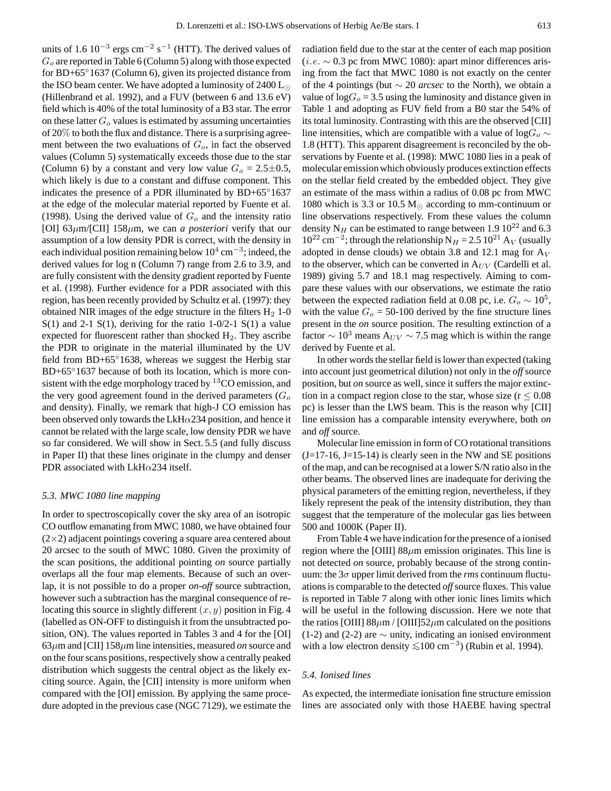units of 1.6  $10^{-3}$  ergs cm<sup>-2</sup> s<sup>-1</sup> (HTT). The derived values of  $G<sub>o</sub>$  are reported in Table 6 (Column 5) along with those expected for BD+65°1637 (Column 6), given its projected distance from the ISO beam center. We have adopted a luminosity of  $2400 \, \text{L}_\odot$ (Hillenbrand et al. 1992), and a FUV (between 6 and 13.6 eV) field which is 40% of the total luminosity of a B3 star. The error on these latter  $G<sub>o</sub>$  values is estimated by assuming uncertainties of 20% to both the flux and distance. There is a surprising agreement between the two evaluations of  $G<sub>o</sub>$ , in fact the observed values (Column 5) systematically exceeds those due to the star (Column 6) by a constant and very low value  $G_0 = 2.5 \pm 0.5$ , which likely is due to a constant and diffuse component. This indicates the presence of a PDR illuminated by BD+65◦1637 at the edge of the molecular material reported by Fuente et al. (1998). Using the derived value of  $G<sub>o</sub>$  and the intensity ratio [OI] 63µm/[CII] 158µm, we can *a posteriori* verify that our assumption of a low density PDR is correct, with the density in each individual position remaining below  $10^4$  cm<sup>-3</sup>; indeed, the derived values for log n (Column 7) range from 2.6 to 3.9, and are fully consistent with the density gradient reported by Fuente et al. (1998). Further evidence for a PDR associated with this region, has been recently provided by Schultz et al. (1997): they obtained NIR images of the edge structure in the filters  $H_2$  1-0  $S(1)$  and 2-1  $S(1)$ , deriving for the ratio 1-0/2-1  $S(1)$  a value expected for fluorescent rather than shocked  $H_2$ . They ascribe the PDR to originate in the material illuminated by the UV field from BD+65°1638, whereas we suggest the Herbig star BD+65°1637 because of both its location, which is more consistent with the edge morphology traced by  ${}^{13}$ CO emission, and the very good agreement found in the derived parameters  $(G<sub>o</sub>)$ and density). Finally, we remark that high-J CO emission has been observed only towards the LkH $\alpha$ 234 position, and hence it cannot be related with the large scale, low density PDR we have so far considered. We will show in Sect. 5.5 (and fully discuss in Paper II) that these lines originate in the clumpy and denser PDR associated with LkH $\alpha$ 234 itself.

# *5.3. MWC 1080 line mapping*

In order to spectroscopically cover the sky area of an isotropic CO outflow emanating from MWC 1080, we have obtained four  $(2\times2)$  adjacent pointings covering a square area centered about 20 arcsec to the south of MWC 1080. Given the proximity of the scan positions, the additional pointing *on* source partially overlaps all the four map elements. Because of such an overlap, it is not possible to do a proper *on-off* source subtraction, however such a subtraction has the marginal consequence of relocating this source in slightly different  $(x, y)$  position in Fig. 4 (labelled as ON-OFF to distinguish it from the unsubtracted position, ON). The values reported in Tables 3 and 4 for the [OI]  $63\mu$ m and [CII]  $158\mu$ m line intensities, measured *on* source and on the four scans positions, respectively show a centrally peaked distribution which suggests the central object as the likely exciting source. Again, the [CII] intensity is more uniform when compared with the [OI] emission. By applying the same procedure adopted in the previous case (NGC 7129), we estimate the radiation field due to the star at the center of each map position (*i.e.*  $\sim$  0.3 pc from MWC 1080): apart minor differences arising from the fact that MWC 1080 is not exactly on the center of the 4 pointings (but ∼ 20 *arcsec* to the North), we obtain a value of  $logG<sub>o</sub> = 3.5$  using the luminosity and distance given in Table 1 and adopting as FUV field from a B0 star the 54% of its total luminosity. Contrasting with this are the observed [CII] line intensities, which are compatible with a value of log $G_0 \sim$ 1.8 (HTT). This apparent disagreement is reconciled by the observations by Fuente et al. (1998): MWC 1080 lies in a peak of molecular emission which obviously produces extinction effects on the stellar field created by the embedded object. They give an estimate of the mass within a radius of 0.08 pc from MWC 1080 which is 3.3 or 10.5  $M_{\odot}$  according to mm-continuum or line observations respectively. From these values the column density N<sub>H</sub> can be estimated to range between 1.9 10<sup>22</sup> and 6.3  $10^{22}$  cm<sup>-2</sup>; through the relationship N<sub>H</sub> = 2.5 10<sup>21</sup> A<sub>V</sub> (usually adopted in dense clouds) we obtain 3.8 and 12.1 mag for  $A_V$ to the observer, which can be converted in  $A_{UV}$  (Cardelli et al. 1989) giving 5.7 and 18.1 mag respectively. Aiming to compare these values with our observations, we estimate the ratio between the expected radiation field at 0.08 pc, i.e.  $G_0 \sim 10^5$ , with the value  $G<sub>o</sub> = 50-100$  derived by the fine structure lines present in the *on* source position. The resulting extinction of a factor  $\sim 10^3$  means A<sub>UV</sub>  $\sim$  7.5 mag which is within the range derived by Fuente et al.

In other words the stellar field is lower than expected (taking into account just geometrical dilution) not only in the *off* source position, but *on* source as well, since it suffers the major extinction in a compact region close to the star, whose size ( $r \leq 0.08$ ) pc) is lesser than the LWS beam. This is the reason why [CII] line emission has a comparable intensity everywhere, both *on* and *off* source.

Molecular line emission in form of CO rotational transitions  $(J=17-16, J=15-14)$  is clearly seen in the NW and SE positions of the map, and can be recognised at a lower S/N ratio also in the other beams. The observed lines are inadequate for deriving the physical parameters of the emitting region, nevertheless, if they likely represent the peak of the intensity distribution, they than suggest that the temperature of the molecular gas lies between 500 and 1000K (Paper II).

From Table 4 we have indication for the presence of a ionised region where the [OIII]  $88\mu$ m emission originates. This line is not detected *on* source, probably because of the strong continuum: the  $3\sigma$  upper limit derived from the *rms* continuum fluctuations is comparable to the detected *off*source fluxes. This value is reported in Table 7 along with other ionic lines limits which will be useful in the following discussion. Here we note that the ratios [OIII]  $88\mu$ m / [OIII]52 $\mu$ m calculated on the positions (1-2) and (2-2) are  $\sim$  unity, indicating an ionised environment with a low electron density  $\leq 100 \text{ cm}^{-3}$ ) (Rubin et al. 1994).

#### *5.4. Ionised lines*

As expected, the intermediate ionisation fine structure emission lines are associated only with those HAEBE having spectral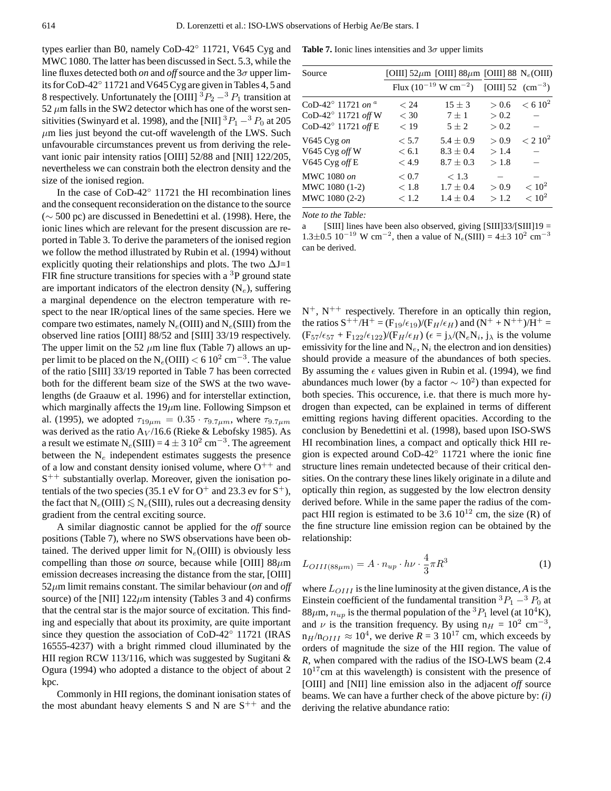types earlier than B0, namely CoD-42◦ 11721, V645 Cyg and MWC 1080. The latter has been discussed in Sect. 5.3, while the line fluxes detected both *on* and *off* source and the  $3\sigma$  upper limits for CoD-42◦ 11721 and V645 Cyg are given in Tables 4, 5 and 8 respectively. Unfortunately the [OIII]  ${}^{3}P_{2} - {}^{3}P_{1}$  transition at 52  $\mu$ m falls in the SW2 detector which has one of the worst sensitivities (Swinyard et al. 1998), and the [NII]  ${}^{3}P_{1} - {}^{3}P_{0}$  at 205  $\mu$ m lies just beyond the cut-off wavelength of the LWS. Such unfavourable circumstances prevent us from deriving the relevant ionic pair intensity ratios [OIII] 52/88 and [NII] 122/205, nevertheless we can constrain both the electron density and the size of the ionised region.

In the case of CoD-42◦ 11721 the HI recombination lines and the consequent reconsideration on the distance to the source (∼ 500 pc) are discussed in Benedettini et al. (1998). Here, the ionic lines which are relevant for the present discussion are reported in Table 3. To derive the parameters of the ionised region we follow the method illustrated by Rubin et al. (1994) without explicitly quoting their relationships and plots. The two  $\Delta J=1$ FIR fine structure transitions for species with a  ${}^{3}P$  ground state are important indicators of the electron density  $(N_e)$ , suffering a marginal dependence on the electron temperature with respect to the near IR/optical lines of the same species. Here we compare two estimates, namely  $N_e$ (OIII) and  $N_e$ (SIII) from the observed line ratios [OIII] 88/52 and [SIII] 33/19 respectively. The upper limit on the 52  $\mu$ m line flux (Table 7) allows an upper limit to be placed on the  $N_e(OIII) < 6 \frac{10^2 \text{ cm}^{-3}}{3}$ . The value of the ratio [SIII] 33/19 reported in Table 7 has been corrected both for the different beam size of the SWS at the two wavelengths (de Graauw et al. 1996) and for interstellar extinction, which marginally affects the  $19\mu$ m line. Following Simpson et al. (1995), we adopted  $\tau_{19\mu m} = 0.35 \cdot \tau_{9.7\mu m}$ , where  $\tau_{9.7\mu m}$ was derived as the ratio  $A_V/16.6$  (Rieke & Lebofsky 1985). As a result we estimate  $N_e(SIII) = 4 \pm 3.10^2$  cm<sup>-3</sup>. The agreement between the  $N_e$  independent estimates suggests the presence of a low and constant density ionised volume, where  $O^{++}$  and  $S^{++}$  substantially overlap. Moreover, given the ionisation potentials of the two species (35.1 eV for  $O^+$  and 23.3 ev for  $S^+$ ), the fact that  $N_e(OIII) \lesssim N_e(SIII)$ , rules out a decreasing density gradient from the central exciting source.

A similar diagnostic cannot be applied for the *off* source positions (Table 7), where no SWS observations have been obtained. The derived upper limit for  $N_e$ (OIII) is obviously less compelling than those *on* source, because while [OIII]  $88\mu$ m emission decreases increasing the distance from the star, [OIII] 52µm limit remains constant. The similar behaviour (*on* and *off* source) of the [NII]  $122 \mu m$  intensity (Tables 3 and 4) confirms that the central star is the major source of excitation. This finding and especially that about its proximity, are quite important since they question the association of CoD-42◦ 11721 (IRAS 16555-4237) with a bright rimmed cloud illuminated by the HII region RCW 113/116, which was suggested by Sugitani & Ogura (1994) who adopted a distance to the object of about 2 kpc.

Commonly in HII regions, the dominant ionisation states of the most abundant heavy elements S and N are  $S^{++}$  and the

**Table 7.** Ionic lines intensities and  $3\sigma$  upper limits

| Source                                 |        | [OIII] 52 $\mu$ m [OIII] 88 $\mu$ m [OIII] 88 N <sub>e</sub> (OIII) |       |                     |
|----------------------------------------|--------|---------------------------------------------------------------------|-------|---------------------|
|                                        |        | Flux $(10^{-19} \text{ W cm}^{-2})$ [OIII] 52 $(\text{cm}^{-3})$    |       |                     |
| CoD-42 $^{\circ}$ 11721 on $^{\alpha}$ | < 24   | $15 \pm 3$                                                          | > 0.6 | < 6.10 <sup>2</sup> |
| CoD-42° 11721 off W                    | $<$ 30 | $7 \pm 1$                                                           | > 0.2 |                     |
| CoD-42° 11721 off E                    | < 19   | $5 + 2$                                                             | > 0.2 |                     |
| V645 Cyg on                            | < 5.7  | $5.4 \pm 0.9$                                                       | > 0.9 | < 2.10 <sup>2</sup> |
| V645 Cyg off W                         | < 6.1  | $8.3 \pm 0.4$                                                       | >1.4  |                     |
| V645 Cyg $off \to$                     | < 4.9  | $8.7 + 0.3$                                                         | > 1.8 |                     |
| MWC 1080 on                            | < 0.7  | < 1.3                                                               |       |                     |
| MWC 1080 (1-2)                         | < 1.8  | $1.7 \pm 0.4$                                                       | > 0.9 | $< 10^2$            |
| MWC 1080 (2-2)                         | < 1.2  | $1.4 \pm 0.4$                                                       | >1.2  | $< 10^{2}$          |

*Note to the Table:*

a [SIII] lines have been also observed, giving [SIII]33/[SIII]19 =  $1.3\pm0.5\,10^{-19}$  W cm<sup>-2</sup>, then a value of N<sub>e</sub>(SIII) = 4 $\pm$ 3 10<sup>2</sup> cm<sup>-3</sup> can be derived.

 $N^+$ ,  $N^{++}$  respectively. Therefore in an optically thin region, the ratios  $S^{++}/H^+ = (F_{19}/\epsilon_{19})/(F_H/\epsilon_H)$  and  $(N^+ + N^{++})/H^+ =$  $(F_{57}/\epsilon_{57} + F_{122}/\epsilon_{122})/(F_H/\epsilon_H)$  ( $\epsilon = j_{\lambda}/(N_eN_i, j_{\lambda}$  is the volume emissivity for the line and  $N_e$ ,  $N_i$  the electron and ion densities) should provide a measure of the abundances of both species. By assuming the  $\epsilon$  values given in Rubin et al. (1994), we find abundances much lower (by a factor  $\sim 10^2$ ) than expected for both species. This occurence, i.e. that there is much more hydrogen than expected, can be explained in terms of different emitting regions having different opacities. According to the conclusion by Benedettini et al. (1998), based upon ISO-SWS HI recombination lines, a compact and optically thick HII region is expected around CoD-42◦ 11721 where the ionic fine structure lines remain undetected because of their critical densities. On the contrary these lines likely originate in a dilute and optically thin region, as suggested by the low electron density derived before. While in the same paper the radius of the compact HII region is estimated to be  $3.6 \, 10^{12}$  cm, the size (R) of the fine structure line emission region can be obtained by the relationship:

$$
L_{OIII(88\mu m)} = A \cdot n_{up} \cdot h\nu \cdot \frac{4}{3}\pi R^3 \tag{1}
$$

where  $L_{OIII}$  is the line luminosity at the given distance, A is the Einstein coefficient of the fundamental transition  ${}^{3}P_{1} - {}^{3}P_{0}$  at 88 $\mu$ m,  $n_{up}$  is the thermal population of the <sup>3</sup> $P_1$  level (at 10<sup>4</sup>K), and  $\nu$  is the transition frequency. By using  $n_H = 10^2 \text{ cm}^{-3}$ ,  $n_H/n_{OIII} \approx 10^4$ , we derive  $R = 3 \times 10^{17}$  cm, which exceeds by orders of magnitude the size of the HII region. The value of *R*, when compared with the radius of the ISO-LWS beam (2.4  $10^{17}$ cm at this wavelength) is consistent with the presence of [OIII] and [NII] line emission also in the adjacent *off* source beams. We can have a further check of the above picture by: *(i)* deriving the relative abundance ratio: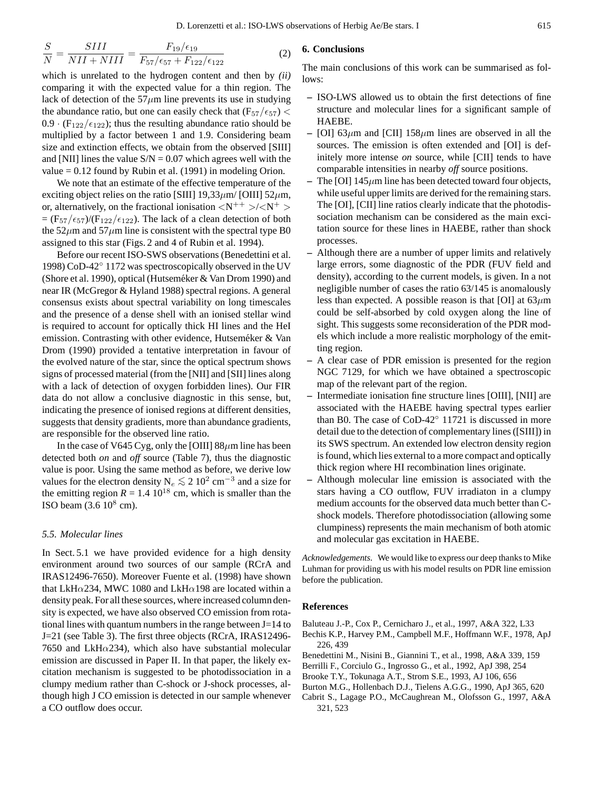$$
\frac{S}{N} = \frac{SIII}{NII + NIII} = \frac{F_{19}/\epsilon_{19}}{F_{57}/\epsilon_{57} + F_{122}/\epsilon_{122}}
$$
(2)

which is unrelated to the hydrogen content and then by *(ii)* comparing it with the expected value for a thin region. The lack of detection of the  $57\mu m$  line prevents its use in studying the abundance ratio, but one can easily check that  $(F_{57}/\epsilon_{57})$  <  $0.9 \cdot (F_{122}/\epsilon_{122})$ ; thus the resulting abundance ratio should be multiplied by a factor between 1 and 1.9. Considering beam size and extinction effects, we obtain from the observed [SIII] and [NII] lines the value  $S/N = 0.07$  which agrees well with the value  $= 0.12$  found by Rubin et al. (1991) in modeling Orion.

We note that an estimate of the effective temperature of the exciting object relies on the ratio [SIII] 19,33 $\mu$ m/ [OIII] 52 $\mu$ m, or, alternatively, on the fractional ionisation  $\langle N^{++} \rangle / \langle N^{+} \rangle$  $=$  (F<sub>57</sub>/ $\epsilon$ <sub>57</sub>)/(F<sub>122</sub>/ $\epsilon$ <sub>122</sub>). The lack of a clean detection of both the  $52\mu$ m and  $57\mu$ m line is consistent with the spectral type B0 assigned to this star (Figs. 2 and 4 of Rubin et al. 1994).

Before our recent ISO-SWS observations (Benedettini et al. 1998) CoD-42◦ 1172 was spectroscopically observed in the UV (Shore et al. 1990), optical (Hutseméker & Van Drom 1990) and near IR (McGregor & Hyland 1988) spectral regions. A general consensus exists about spectral variability on long timescales and the presence of a dense shell with an ionised stellar wind is required to account for optically thick HI lines and the HeI emission. Contrasting with other evidence, Hutseméker  $&$  Van Drom (1990) provided a tentative interpretation in favour of the evolved nature of the star, since the optical spectrum shows signs of processed material (from the [NII] and [SII] lines along with a lack of detection of oxygen forbidden lines). Our FIR data do not allow a conclusive diagnostic in this sense, but, indicating the presence of ionised regions at different densities, suggests that density gradients, more than abundance gradients, are responsible for the observed line ratio.

In the case of V645 Cyg, only the [OIII]  $88 \mu m$  line has been detected both *on* and *off* source (Table 7), thus the diagnostic value is poor. Using the same method as before, we derive low values for the electron density  $N_e \lesssim 2 \ 10^2 \ \text{cm}^{-3}$  and a size for the emitting region  $R = 1.4 \, 10^{18}$  cm, which is smaller than the ISO beam  $(3.6 10^8$  cm).

#### *5.5. Molecular lines*

In Sect. 5.1 we have provided evidence for a high density environment around two sources of our sample (RCrA and IRAS12496-7650). Moreover Fuente et al. (1998) have shown that LkH $\alpha$ 234, MWC 1080 and LkH $\alpha$ 198 are located within a density peak. For all these sources, where increased column density is expected, we have also observed CO emission from rotational lines with quantum numbers in the range between J=14 to J=21 (see Table 3). The first three objects (RCrA, IRAS12496- 7650 and LkH $\alpha$ 234), which also have substantial molecular emission are discussed in Paper II. In that paper, the likely excitation mechanism is suggested to be photodissociation in a clumpy medium rather than C-shock or J-shock processes, although high J CO emission is detected in our sample whenever a CO outflow does occur.

### **6. Conclusions**

The main conclusions of this work can be summarised as follows:

- **–** ISO-LWS allowed us to obtain the first detections of fine structure and molecular lines for a significant sample of HAEBE.
- $-$  [OI] 63 $\mu$ m and [CII] 158 $\mu$ m lines are observed in all the sources. The emission is often extended and [OI] is definitely more intense *on* source, while [CII] tends to have comparable intensities in nearby *off* source positions.
- The [OI]  $145 \mu m$  line has been detected toward four objects, while useful upper limits are derived for the remaining stars. The [OI], [CII] line ratios clearly indicate that the photodissociation mechanism can be considered as the main excitation source for these lines in HAEBE, rather than shock processes.
- **–** Although there are a number of upper limits and relatively large errors, some diagnostic of the PDR (FUV field and density), according to the current models, is given. In a not negligible number of cases the ratio 63/145 is anomalously less than expected. A possible reason is that [OI] at  $63\mu$ m could be self-absorbed by cold oxygen along the line of sight. This suggests some reconsideration of the PDR models which include a more realistic morphology of the emitting region.
- **–** A clear case of PDR emission is presented for the region NGC 7129, for which we have obtained a spectroscopic map of the relevant part of the region.
- **–** Intermediate ionisation fine structure lines [OIII], [NII] are associated with the HAEBE having spectral types earlier than B0. The case of CoD-42◦ 11721 is discussed in more detail due to the detection of complementary lines ([SIII]) in its SWS spectrum. An extended low electron density region is found, which lies external to a more compact and optically thick region where HI recombination lines originate.
- **–** Although molecular line emission is associated with the stars having a CO outflow, FUV irradiaton in a clumpy medium accounts for the observed data much better than Cshock models. Therefore photodissociation (allowing some clumpiness) represents the main mechanism of both atomic and molecular gas excitation in HAEBE.

*Acknowledgements.* We would like to express our deep thanks to Mike Luhman for providing us with his model results on PDR line emission before the publication.

#### **References**

Baluteau J.-P., Cox P., Cernicharo J., et al., 1997, A&A 322, L33

Bechis K.P., Harvey P.M., Campbell M.F., Hoffmann W.F., 1978, ApJ 226, 439

Benedettini M., Nisini B., Giannini T., et al., 1998, A&A 339, 159

Berrilli F., Corciulo G., Ingrosso G., et al., 1992, ApJ 398, 254

Brooke T.Y., Tokunaga A.T., Strom S.E., 1993, AJ 106, 656

Burton M.G., Hollenbach D.J., Tielens A.G.G., 1990, ApJ 365, 620

Cabrit S., Lagage P.O., McCaughrean M., Olofsson G., 1997, A&A 321, 523